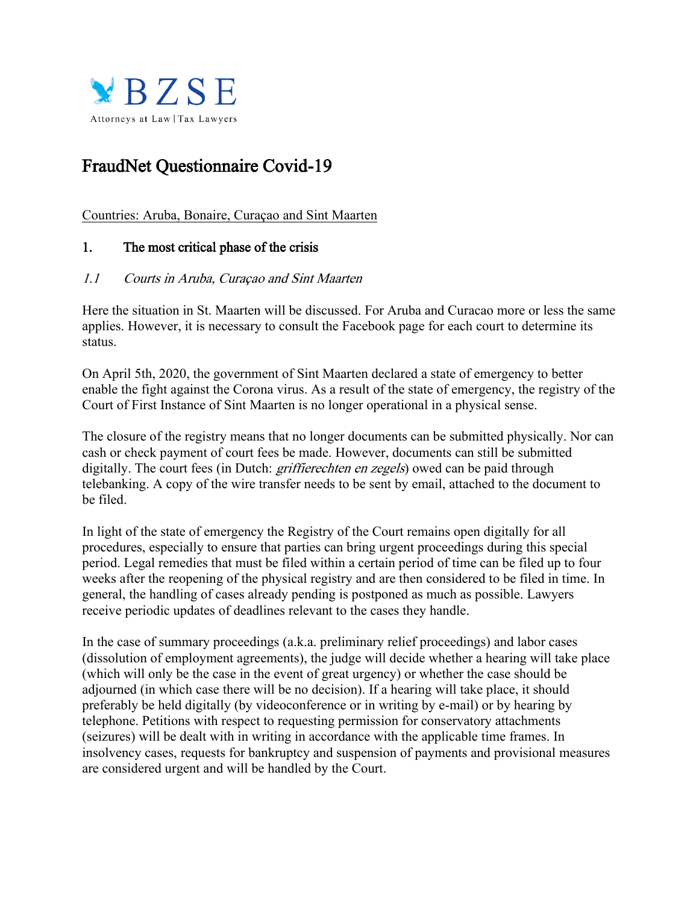

# FraudNet Questionnaire Covid-19

Countries: Aruba, Bonaire, Curaçao and Sint Maarten

# 1. The most critical phase of the crisis

## 1.1 Courts in Aruba, Curaçao and Sint Maarten

Here the situation in St. Maarten will be discussed. For Aruba and Curacao more or less the same applies. However, it is necessary to consult the Facebook page for each court to determine its status.

On April 5th, 2020, the government of Sint Maarten declared a state of emergency to better enable the fight against the Corona virus. As a result of the state of emergency, the registry of the Court of First Instance of Sint Maarten is no longer operational in a physical sense.

The closure of the registry means that no longer documents can be submitted physically. Nor can cash or check payment of court fees be made. However, documents can still be submitted digitally. The court fees (in Dutch: *griffierechten en zegels*) owed can be paid through telebanking. A copy of the wire transfer needs to be sent by email, attached to the document to be filed.

In light of the state of emergency the Registry of the Court remains open digitally for all procedures, especially to ensure that parties can bring urgent proceedings during this special period. Legal remedies that must be filed within a certain period of time can be filed up to four weeks after the reopening of the physical registry and are then considered to be filed in time. In general, the handling of cases already pending is postponed as much as possible. Lawyers receive periodic updates of deadlines relevant to the cases they handle.

In the case of summary proceedings (a.k.a. preliminary relief proceedings) and labor cases (dissolution of employment agreements), the judge will decide whether a hearing will take place (which will only be the case in the event of great urgency) or whether the case should be adjourned (in which case there will be no decision). If a hearing will take place, it should preferably be held digitally (by videoconference or in writing by e-mail) or by hearing by telephone. Petitions with respect to requesting permission for conservatory attachments (seizures) will be dealt with in writing in accordance with the applicable time frames. In insolvency cases, requests for bankruptcy and suspension of payments and provisional measures are considered urgent and will be handled by the Court.